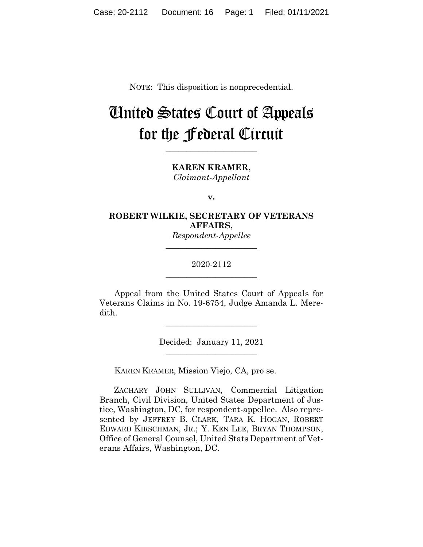NOTE: This disposition is nonprecedential.

# United States Court of Appeals for the Federal Circuit

**KAREN KRAMER,** *Claimant-Appellant*

**\_\_\_\_\_\_\_\_\_\_\_\_\_\_\_\_\_\_\_\_\_\_**

**v.**

# **ROBERT WILKIE, SECRETARY OF VETERANS AFFAIRS,**

*Respondent-Appellee* **\_\_\_\_\_\_\_\_\_\_\_\_\_\_\_\_\_\_\_\_\_\_**

## 2020-2112 **\_\_\_\_\_\_\_\_\_\_\_\_\_\_\_\_\_\_\_\_\_\_**

Appeal from the United States Court of Appeals for Veterans Claims in No. 19-6754, Judge Amanda L. Meredith.

> Decided: January 11, 2021  $\overline{\phantom{a}}$  , where  $\overline{\phantom{a}}$  , where  $\overline{\phantom{a}}$  , where  $\overline{\phantom{a}}$

 $\overline{\phantom{a}}$  , where  $\overline{\phantom{a}}$  , where  $\overline{\phantom{a}}$  , where  $\overline{\phantom{a}}$ 

KAREN KRAMER, Mission Viejo, CA, pro se.

 ZACHARY JOHN SULLIVAN, Commercial Litigation Branch, Civil Division, United States Department of Justice, Washington, DC, for respondent-appellee. Also represented by JEFFREY B. CLARK, TARA K. HOGAN, ROBERT EDWARD KIRSCHMAN, JR.; Y. KEN LEE, BRYAN THOMPSON, Office of General Counsel, United Stats Department of Veterans Affairs, Washington, DC.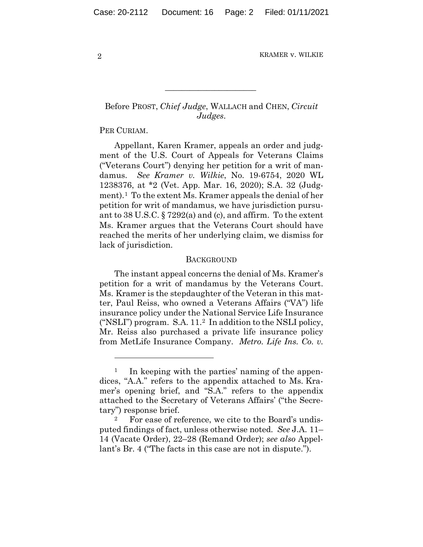# Before PROST, *Chief Judge*, WALLACH and CHEN, *Circuit Judges*.

 $\mathcal{L}_\text{max}$  and  $\mathcal{L}_\text{max}$  and  $\mathcal{L}_\text{max}$  and  $\mathcal{L}_\text{max}$ 

PER CURIAM.

Appellant, Karen Kramer, appeals an order and judgment of the U.S. Court of Appeals for Veterans Claims ("Veterans Court") denying her petition for a writ of mandamus. *See Kramer v. Wilkie*, No. 19-6754, 2020 WL 1238376, at \*2 (Vet. App. Mar. 16, 2020); S.A. 32 (Judgment).1 To the extent Ms. Kramer appeals the denial of her petition for writ of mandamus, we have jurisdiction pursuant to 38 U.S.C. § 7292(a) and (c), and affirm. To the extent Ms. Kramer argues that the Veterans Court should have reached the merits of her underlying claim, we dismiss for lack of jurisdiction.

#### **BACKGROUND**

The instant appeal concerns the denial of Ms. Kramer's petition for a writ of mandamus by the Veterans Court. Ms. Kramer is the stepdaughter of the Veteran in this matter, Paul Reiss, who owned a Veterans Affairs ("VA") life insurance policy under the National Service Life Insurance ("NSLI") program. S.A. 11.2 In addition to the NSLI policy, Mr. Reiss also purchased a private life insurance policy from MetLife Insurance Company. *Metro. Life Ins. Co. v.* 

<sup>&</sup>lt;sup>1</sup> In keeping with the parties' naming of the appendices, "A.A." refers to the appendix attached to Ms. Kramer's opening brief, and "S.A." refers to the appendix attached to the Secretary of Veterans Affairs' ("the Secretary") response brief.

For ease of reference, we cite to the Board's undisputed findings of fact, unless otherwise noted. *See* J.A. 11– 14 (Vacate Order), 22–28 (Remand Order); *see also* Appellant's Br. 4 ("The facts in this case are not in dispute.").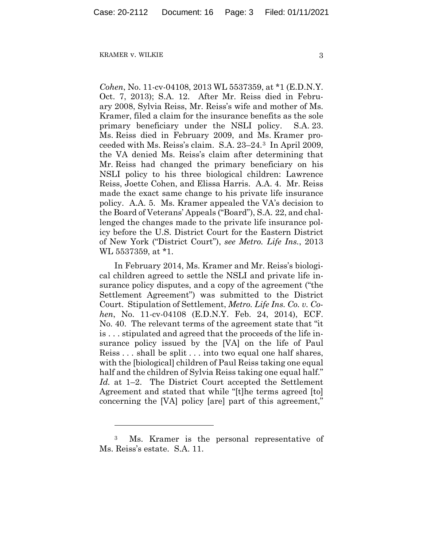*Cohen*, No. 11-cv-04108, 2013 WL 5537359, at \*1 (E.D.N.Y. Oct. 7, 2013); S.A. 12. After Mr. Reiss died in February 2008, Sylvia Reiss, Mr. Reiss's wife and mother of Ms. Kramer, filed a claim for the insurance benefits as the sole primary beneficiary under the NSLI policy. S.A. 23. Ms. Reiss died in February 2009, and Ms. Kramer proceeded with Ms. Reiss's claim. S.A. 23–24.3 In April 2009, the VA denied Ms. Reiss's claim after determining that Mr. Reiss had changed the primary beneficiary on his NSLI policy to his three biological children: Lawrence Reiss, Joette Cohen, and Elissa Harris. A.A. 4. Mr. Reiss made the exact same change to his private life insurance policy. A.A. 5. Ms. Kramer appealed the VA's decision to the Board of Veterans' Appeals ("Board"), S.A. 22, and challenged the changes made to the private life insurance policy before the U.S. District Court for the Eastern District of New York ("District Court"), *see Metro. Life Ins.*, 2013 WL 5537359, at \*1.

In February 2014, Ms. Kramer and Mr. Reiss's biological children agreed to settle the NSLI and private life insurance policy disputes, and a copy of the agreement ("the Settlement Agreement") was submitted to the District Court. Stipulation of Settlement, *Metro. Life Ins. Co. v. Cohen*, No. 11-cv-04108 (E.D.N.Y. Feb. 24, 2014), ECF. No. 40. The relevant terms of the agreement state that "it is . . . stipulated and agreed that the proceeds of the life insurance policy issued by the [VA] on the life of Paul Reiss . . . shall be split . . . into two equal one half shares, with the [biological] children of Paul Reiss taking one equal half and the children of Sylvia Reiss taking one equal half." *Id.* at 1–2. The District Court accepted the Settlement Agreement and stated that while "[t]he terms agreed [to] concerning the [VA] policy [are] part of this agreement,"

<sup>3</sup> Ms. Kramer is the personal representative of Ms. Reiss's estate. S.A. 11.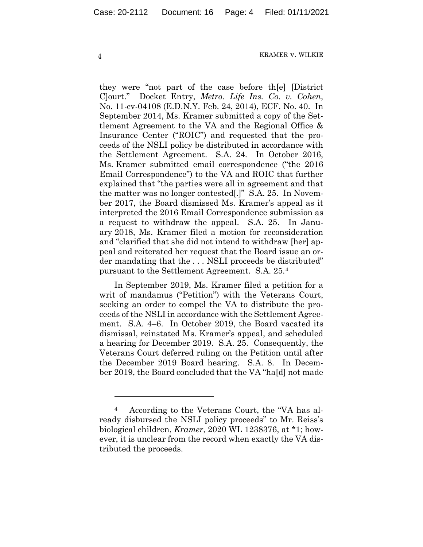they were "not part of the case before th[e] [District C]ourt." Docket Entry, *Metro. Life Ins. Co. v. Cohen*, No. 11-cv-04108 (E.D.N.Y. Feb. 24, 2014), ECF. No. 40. In September 2014, Ms. Kramer submitted a copy of the Settlement Agreement to the VA and the Regional Office & Insurance Center ("ROIC") and requested that the proceeds of the NSLI policy be distributed in accordance with the Settlement Agreement. S.A. 24. In October 2016, Ms. Kramer submitted email correspondence ("the 2016 Email Correspondence") to the VA and ROIC that further explained that "the parties were all in agreement and that the matter was no longer contested[.]" S.A. 25. In November 2017, the Board dismissed Ms. Kramer's appeal as it interpreted the 2016 Email Correspondence submission as a request to withdraw the appeal. S.A. 25. In January 2018, Ms. Kramer filed a motion for reconsideration and "clarified that she did not intend to withdraw [her] appeal and reiterated her request that the Board issue an order mandating that the . . . NSLI proceeds be distributed" pursuant to the Settlement Agreement. S.A. 25.4

In September 2019, Ms. Kramer filed a petition for a writ of mandamus ("Petition") with the Veterans Court, seeking an order to compel the VA to distribute the proceeds of the NSLI in accordance with the Settlement Agreement. S.A. 4–6. In October 2019, the Board vacated its dismissal, reinstated Ms. Kramer's appeal, and scheduled a hearing for December 2019. S.A. 25. Consequently, the Veterans Court deferred ruling on the Petition until after the December 2019 Board hearing. S.A. 8. In December 2019, the Board concluded that the VA "ha[d] not made

<sup>4</sup> According to the Veterans Court, the "VA has already disbursed the NSLI policy proceeds" to Mr. Reiss's biological children, *Kramer*, 2020 WL 1238376, at \*1; however, it is unclear from the record when exactly the VA distributed the proceeds.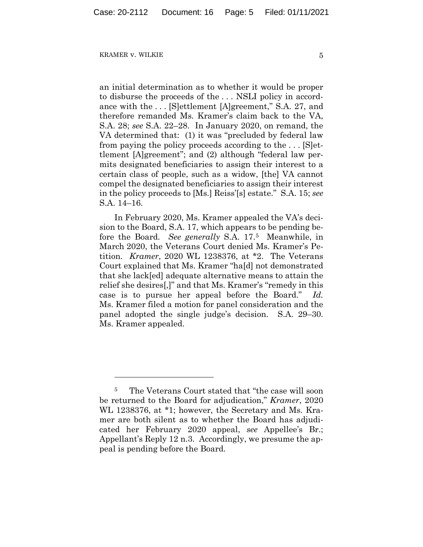an initial determination as to whether it would be proper to disburse the proceeds of the . . . NSLI policy in accordance with the . . . [S]ettlement [A]greement," S.A. 27, and therefore remanded Ms. Kramer's claim back to the VA, S.A. 28; *see* S.A. 22–28. In January 2020, on remand, the VA determined that: (1) it was "precluded by federal law from paying the policy proceeds according to the . . . [S]ettlement [A]greement"; and (2) although "federal law permits designated beneficiaries to assign their interest to a certain class of people, such as a widow, [the] VA cannot compel the designated beneficiaries to assign their interest in the policy proceeds to [Ms.] Reiss'[s] estate." S.A. 15; *see* S.A. 14–16.

In February 2020, Ms. Kramer appealed the VA's decision to the Board, S.A. 17, which appears to be pending before the Board. *See generally* S.A. 17.5 Meanwhile, in March 2020, the Veterans Court denied Ms. Kramer's Petition. *Kramer*, 2020 WL 1238376, at \*2. The Veterans Court explained that Ms. Kramer "ha[d] not demonstrated that she lack[ed] adequate alternative means to attain the relief she desires[,]" and that Ms. Kramer's "remedy in this case is to pursue her appeal before the Board." *Id.* Ms. Kramer filed a motion for panel consideration and the panel adopted the single judge's decision. S.A. 29–30. Ms. Kramer appealed.

<sup>5</sup> The Veterans Court stated that "the case will soon be returned to the Board for adjudication," *Kramer*, 2020 WL 1238376, at \*1; however, the Secretary and Ms. Kramer are both silent as to whether the Board has adjudicated her February 2020 appeal, *see* Appellee's Br.; Appellant's Reply 12 n.3. Accordingly, we presume the appeal is pending before the Board.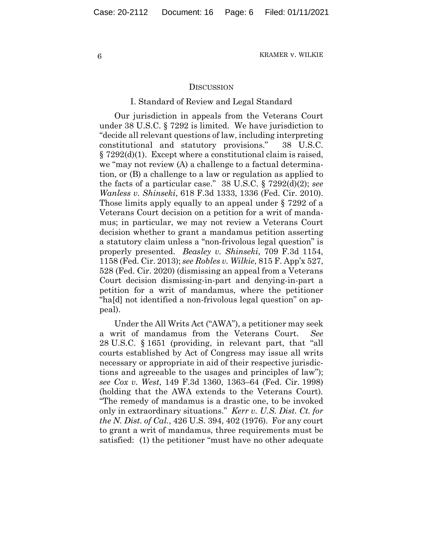#### **DISCUSSION**

#### I. Standard of Review and Legal Standard

Our jurisdiction in appeals from the Veterans Court under 38 U.S.C. § 7292 is limited. We have jurisdiction to "decide all relevant questions of law, including interpreting constitutional and statutory provisions." 38 U.S.C. § 7292(d)(1). Except where a constitutional claim is raised, we "may not review (A) a challenge to a factual determination, or (B) a challenge to a law or regulation as applied to the facts of a particular case." 38 U.S.C. § 7292(d)(2); *see Wanless v. Shinseki*, 618 F.3d 1333, 1336 (Fed. Cir. 2010). Those limits apply equally to an appeal under § 7292 of a Veterans Court decision on a petition for a writ of mandamus; in particular, we may not review a Veterans Court decision whether to grant a mandamus petition asserting a statutory claim unless a "non-frivolous legal question" is properly presented. *Beasley v. Shinseki*, 709 F.3d 1154, 1158 (Fed. Cir. 2013); *see Robles v. Wilkie*, 815 F. App'x 527, 528 (Fed. Cir. 2020) (dismissing an appeal from a Veterans Court decision dismissing-in-part and denying-in-part a petition for a writ of mandamus, where the petitioner "ha[d] not identified a non-frivolous legal question" on appeal).

Under the All Writs Act ("AWA"), a petitioner may seek a writ of mandamus from the Veterans Court. *See*  28 U.S.C. § 1651 (providing, in relevant part, that "all courts established by Act of Congress may issue all writs necessary or appropriate in aid of their respective jurisdictions and agreeable to the usages and principles of law"); *see Cox v. West*, 149 F.3d 1360, 1363–64 (Fed. Cir. 1998) (holding that the AWA extends to the Veterans Court)*.*  "The remedy of mandamus is a drastic one, to be invoked only in extraordinary situations." *Kerr v. U.S. Dist. Ct. for the N. Dist. of Cal.*, 426 U.S. 394, 402 (1976). For any court to grant a writ of mandamus, three requirements must be satisfied: (1) the petitioner "must have no other adequate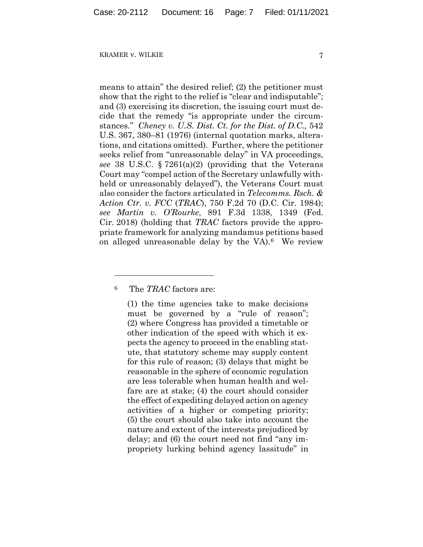means to attain" the desired relief; (2) the petitioner must show that the right to the relief is "clear and indisputable"; and (3) exercising its discretion, the issuing court must decide that the remedy "is appropriate under the circumstances." *Cheney v. U.S. Dist. Ct. for the Dist. of D.C.,* 542 U.S. 367, 380–81 (1976) (internal quotation marks, alterations, and citations omitted). Further, where the petitioner seeks relief from "unreasonable delay" in VA proceedings, *see* 38 U.S.C. § 7261(a)(2) (providing that the Veterans Court may "compel action of the Secretary unlawfully withheld or unreasonably delayed"), the Veterans Court must also consider the factors articulated in *Telecomms. Rsch. & Action Ctr. v. FCC* (*TRAC*), 750 F.2d 70 (D.C. Cir. 1984); *see Martin v. O'Rourke*, 891 F.3d 1338, 1349 (Fed. Cir. 2018) (holding that *TRAC* factors provide the appropriate framework for analyzing mandamus petitions based on alleged unreasonable delay by the VA).6 We review

<sup>6</sup> The *TRAC* factors are:

(1) the time agencies take to make decisions must be governed by a "rule of reason"; (2) where Congress has provided a timetable or other indication of the speed with which it expects the agency to proceed in the enabling statute, that statutory scheme may supply content for this rule of reason; (3) delays that might be reasonable in the sphere of economic regulation are less tolerable when human health and welfare are at stake; (4) the court should consider the effect of expediting delayed action on agency activities of a higher or competing priority; (5) the court should also take into account the nature and extent of the interests prejudiced by delay; and (6) the court need not find "any impropriety lurking behind agency lassitude" in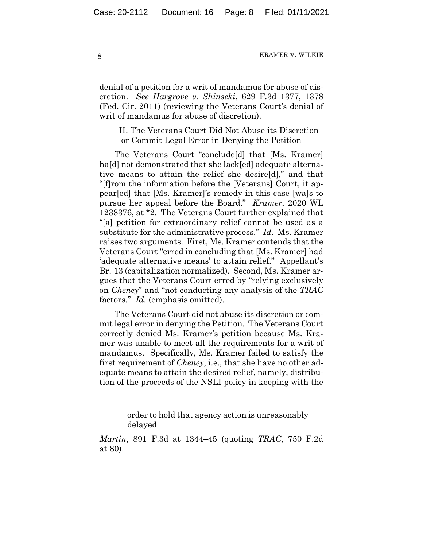denial of a petition for a writ of mandamus for abuse of discretion. *See Hargrove v. Shinseki*, 629 F.3d 1377, 1378 (Fed. Cir. 2011) (reviewing the Veterans Court's denial of writ of mandamus for abuse of discretion).

II. The Veterans Court Did Not Abuse its Discretion or Commit Legal Error in Denying the Petition

The Veterans Court "conclude[d] that [Ms. Kramer] ha<sup>[d]</sup> not demonstrated that she lack[ed] adequate alternative means to attain the relief she desire[d]," and that "[f]rom the information before the [Veterans] Court, it appear[ed] that [Ms. Kramer]'s remedy in this case [wa]s to pursue her appeal before the Board." *Kramer*, 2020 WL 1238376, at \*2. The Veterans Court further explained that "[a] petition for extraordinary relief cannot be used as a substitute for the administrative process." *Id*. Ms. Kramer raises two arguments. First, Ms. Kramer contends that the Veterans Court "erred in concluding that [Ms. Kramer] had 'adequate alternative means' to attain relief." Appellant's Br. 13 (capitalization normalized). Second, Ms. Kramer argues that the Veterans Court erred by "relying exclusively on *Cheney*" and "not conducting any analysis of the *TRAC* factors." *Id.* (emphasis omitted).

The Veterans Court did not abuse its discretion or commit legal error in denying the Petition. The Veterans Court correctly denied Ms. Kramer's petition because Ms. Kramer was unable to meet all the requirements for a writ of mandamus. Specifically, Ms. Kramer failed to satisfy the first requirement of *Cheney*, i.e., that she have no other adequate means to attain the desired relief, namely, distribution of the proceeds of the NSLI policy in keeping with the

order to hold that agency action is unreasonably delayed.

*Martin*, 891 F.3d at 1344–45 (quoting *TRAC*, 750 F.2d at 80).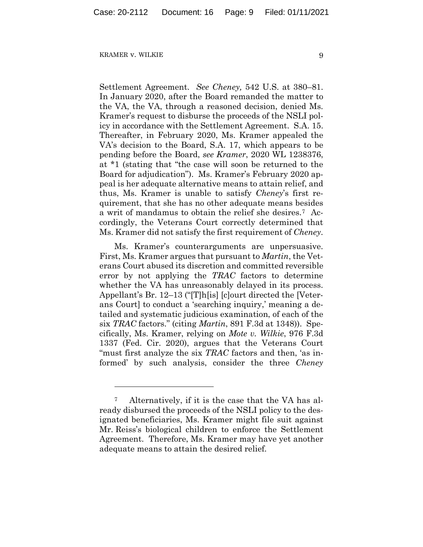Settlement Agreement. *See Cheney,* 542 U.S. at 380–81. In January 2020, after the Board remanded the matter to the VA, the VA, through a reasoned decision, denied Ms. Kramer's request to disburse the proceeds of the NSLI policy in accordance with the Settlement Agreement. S.A. 15. Thereafter, in February 2020, Ms. Kramer appealed the VA's decision to the Board, S.A. 17, which appears to be pending before the Board, *see Kramer*, 2020 WL 1238376, at \*1 (stating that "the case will soon be returned to the Board for adjudication"). Ms. Kramer's February 2020 appeal is her adequate alternative means to attain relief, and thus, Ms. Kramer is unable to satisfy *Cheney*'s first requirement, that she has no other adequate means besides a writ of mandamus to obtain the relief she desires.7 Accordingly, the Veterans Court correctly determined that Ms. Kramer did not satisfy the first requirement of *Cheney*.

Ms. Kramer's counterarguments are unpersuasive. First, Ms. Kramer argues that pursuant to *Martin*, the Veterans Court abused its discretion and committed reversible error by not applying the *TRAC* factors to determine whether the VA has unreasonably delayed in its process. Appellant's Br. 12–13 ("[T]h[is] [c]ourt directed the [Veterans Court] to conduct a 'searching inquiry,' meaning a detailed and systematic judicious examination, of each of the six *TRAC* factors." (citing *Martin*, 891 F.3d at 1348)). Specifically, Ms. Kramer, relying on *Mote v. Wilkie*, 976 F.3d 1337 (Fed. Cir. 2020), argues that the Veterans Court "must first analyze the six *TRAC* factors and then, 'as informed' by such analysis, consider the three *Cheney*

<sup>7</sup> Alternatively, if it is the case that the VA has already disbursed the proceeds of the NSLI policy to the designated beneficiaries, Ms. Kramer might file suit against Mr. Reiss's biological children to enforce the Settlement Agreement. Therefore, Ms. Kramer may have yet another adequate means to attain the desired relief.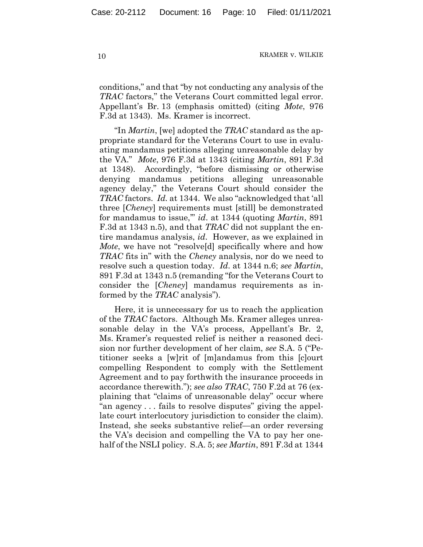conditions," and that "by not conducting any analysis of the *TRAC* factors," the Veterans Court committed legal error. Appellant's Br. 13 (emphasis omitted) (citing *Mote*, 976 F.3d at 1343). Ms. Kramer is incorrect.

"In *Martin*, [we] adopted the *TRAC* standard as the appropriate standard for the Veterans Court to use in evaluating mandamus petitions alleging unreasonable delay by the VA." *Mote*, 976 F.3d at 1343 (citing *Martin*, 891 F.3d at 1348). Accordingly, "before dismissing or otherwise denying mandamus petitions alleging unreasonable agency delay," the Veterans Court should consider the *TRAC* factors. *Id.* at 1344. We also "acknowledged that 'all three [*Cheney*] requirements must [still] be demonstrated for mandamus to issue,'" *id*. at 1344 (quoting *Martin*, 891 F.3d at 1343 n.5), and that *TRAC* did not supplant the entire mandamus analysis, *id*. However, as we explained in *Mote*, we have not "resolve[d] specifically where and how *TRAC* fits in" with the *Cheney* analysis, nor do we need to resolve such a question today. *Id*. at 1344 n.6; *see Martin*, 891 F.3d at 1343 n.5 (remanding "for the Veterans Court to consider the [*Cheney*] mandamus requirements as informed by the *TRAC* analysis").

Here, it is unnecessary for us to reach the application of the *TRAC* factors. Although Ms. Kramer alleges unreasonable delay in the VA's process, Appellant's Br. 2, Ms. Kramer's requested relief is neither a reasoned decision nor further development of her claim, *see* S.A. 5 ("Petitioner seeks a [w]rit of [m]andamus from this [c]ourt compelling Respondent to comply with the Settlement Agreement and to pay forthwith the insurance proceeds in accordance therewith."); *see also TRAC*, 750 F.2d at 76 (explaining that "claims of unreasonable delay" occur where "an agency . . . fails to resolve disputes" giving the appellate court interlocutory jurisdiction to consider the claim). Instead, she seeks substantive relief—an order reversing the VA's decision and compelling the VA to pay her onehalf of the NSLI policy. S.A. 5; *see Martin*, 891 F.3d at 1344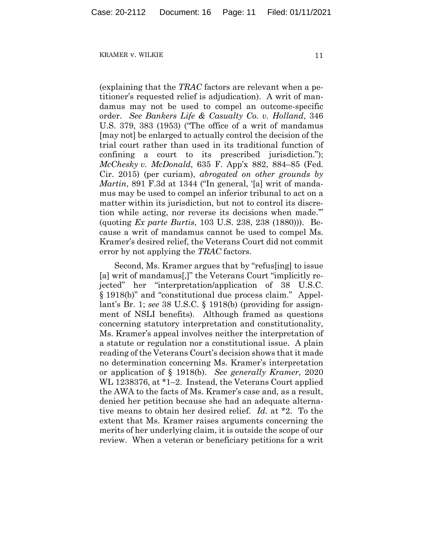(explaining that the *TRAC* factors are relevant when a petitioner's requested relief is adjudication). A writ of mandamus may not be used to compel an outcome-specific order. *See Bankers Life & Casualty Co. v. Holland*, 346 U.S. 379, 383 (1953) ("The office of a writ of mandamus [may not] be enlarged to actually control the decision of the trial court rather than used in its traditional function of confining a court to its prescribed jurisdiction."); *McChesky v. McDonald*, 635 F. App'x 882, 884–85 (Fed. Cir. 2015) (per curiam), *abrogated on other grounds by Martin*, 891 F.3d at 1344 ("In general, '[a] writ of mandamus may be used to compel an inferior tribunal to act on a matter within its jurisdiction, but not to control its discretion while acting, nor reverse its decisions when made.'" (quoting *Ex parte Burtis*, 103 U.S. 238, 238 (1880))). Because a writ of mandamus cannot be used to compel Ms. Kramer's desired relief, the Veterans Court did not commit error by not applying the *TRAC* factors.

Second, Ms. Kramer argues that by "refus[ing] to issue [a] writ of mandamus[,]" the Veterans Court "implicitly rejected" her "interpretation/application of 38 U.S.C. § 1918(b)" and "constitutional due process claim." Appellant's Br. 1; *see* 38 U.S.C. § 1918(b) (providing for assignment of NSLI benefits). Although framed as questions concerning statutory interpretation and constitutionality, Ms. Kramer's appeal involves neither the interpretation of a statute or regulation nor a constitutional issue. A plain reading of the Veterans Court's decision shows that it made no determination concerning Ms. Kramer's interpretation or application of § 1918(b). *See generally Kramer*, 2020 WL 1238376, at \*1–2. Instead, the Veterans Court applied the AWA to the facts of Ms. Kramer's case and, as a result, denied her petition because she had an adequate alternative means to obtain her desired relief. *Id.* at \*2. To the extent that Ms. Kramer raises arguments concerning the merits of her underlying claim, it is outside the scope of our review. When a veteran or beneficiary petitions for a writ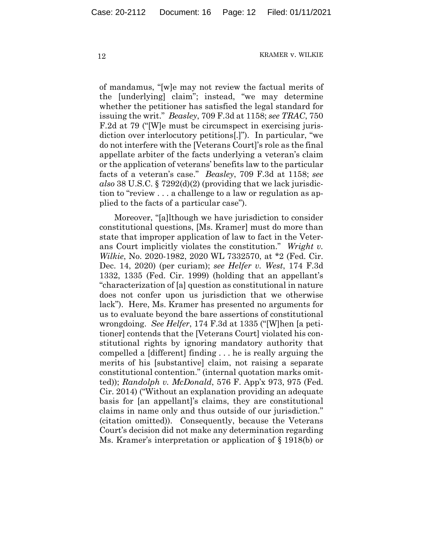of mandamus, "[w]e may not review the factual merits of the [underlying] claim"; instead, "we may determine whether the petitioner has satisfied the legal standard for issuing the writ." *Beasley*, 709 F.3d at 1158; *see TRAC*, 750 F.2d at 79 ("[W]e must be circumspect in exercising jurisdiction over interlocutory petitions[.]"). In particular, "we do not interfere with the [Veterans Court]'s role as the final appellate arbiter of the facts underlying a veteran's claim or the application of veterans' benefits law to the particular facts of a veteran's case." *Beasley*, 709 F.3d at 1158; *see also* 38 U.S.C. § 7292(d)(2) (providing that we lack jurisdiction to "review . . . a challenge to a law or regulation as applied to the facts of a particular case").

Moreover, "[a]lthough we have jurisdiction to consider constitutional questions, [Ms. Kramer] must do more than state that improper application of law to fact in the Veterans Court implicitly violates the constitution." *Wright v. Wilkie*, No. 2020-1982, 2020 WL 7332570, at \*2 (Fed. Cir. Dec. 14, 2020) (per curiam); *see Helfer v. West*, 174 F.3d 1332, 1335 (Fed. Cir. 1999) (holding that an appellant's "characterization of [a] question as constitutional in nature does not confer upon us jurisdiction that we otherwise lack"). Here, Ms. Kramer has presented no arguments for us to evaluate beyond the bare assertions of constitutional wrongdoing. *See Helfer*, 174 F.3d at 1335 ("[W]hen [a petitioner] contends that the [Veterans Court] violated his constitutional rights by ignoring mandatory authority that compelled a [different] finding . . . he is really arguing the merits of his [substantive] claim, not raising a separate constitutional contention." (internal quotation marks omitted)); *Randolph v. McDonald*, 576 F. App'x 973, 975 (Fed. Cir. 2014) ("Without an explanation providing an adequate basis for [an appellant]'s claims, they are constitutional claims in name only and thus outside of our jurisdiction." (citation omitted)). Consequently, because the Veterans Court's decision did not make any determination regarding Ms. Kramer's interpretation or application of § 1918(b) or